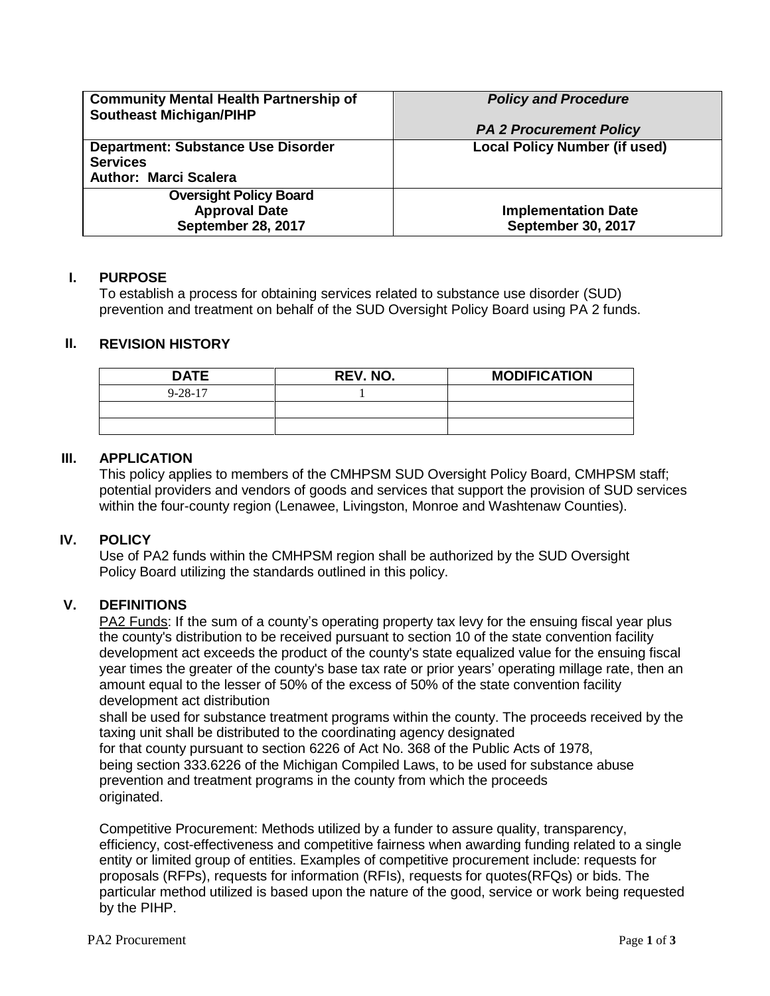| <b>Community Mental Health Partnership of</b><br><b>Southeast Michigan/PIHP</b>              | <b>Policy and Procedure</b>                      |
|----------------------------------------------------------------------------------------------|--------------------------------------------------|
|                                                                                              | <b>PA 2 Procurement Policy</b>                   |
| <b>Department: Substance Use Disorder</b><br><b>Services</b><br><b>Author: Marci Scalera</b> | <b>Local Policy Number (if used)</b>             |
| <b>Oversight Policy Board</b><br><b>Approval Date</b><br>September 28, 2017                  | <b>Implementation Date</b><br>September 30, 2017 |

# **I. PURPOSE**

To establish a process for obtaining services related to substance use disorder (SUD) prevention and treatment on behalf of the SUD Oversight Policy Board using PA 2 funds.

# **II. REVISION HISTORY**

| <b>DATE</b>   | <b>REV. NO.</b> | <b>MODIFICATION</b> |
|---------------|-----------------|---------------------|
| $9 - 28 - 17$ |                 |                     |
|               |                 |                     |
|               |                 |                     |

# **III. APPLICATION**

This policy applies to members of the CMHPSM SUD Oversight Policy Board, CMHPSM staff; potential providers and vendors of goods and services that support the provision of SUD services within the four-county region (Lenawee, Livingston, Monroe and Washtenaw Counties).

### **IV. POLICY**

Use of PA2 funds within the CMHPSM region shall be authorized by the SUD Oversight Policy Board utilizing the standards outlined in this policy.

# **V. DEFINITIONS**

PA2 Funds: If the sum of a county's operating property tax levy for the ensuing fiscal year plus the county's distribution to be received pursuant to section 10 of the state convention facility development act exceeds the product of the county's state equalized value for the ensuing fiscal year times the greater of the county's base tax rate or prior years' operating millage rate, then an amount equal to the lesser of 50% of the excess of 50% of the state convention facility development act distribution

shall be used for substance treatment programs within the county. The proceeds received by the taxing unit shall be distributed to the coordinating agency designated for that county pursuant to section 6226 of Act No. 368 of the Public Acts of 1978, being section 333.6226 of the Michigan Compiled Laws, to be used for substance abuse prevention and treatment programs in the county from which the proceeds originated.

Competitive Procurement: Methods utilized by a funder to assure quality, transparency, efficiency, cost-effectiveness and competitive fairness when awarding funding related to a single entity or limited group of entities. Examples of competitive procurement include: requests for proposals (RFPs), requests for information (RFIs), requests for quotes(RFQs) or bids. The particular method utilized is based upon the nature of the good, service or work being requested by the PIHP.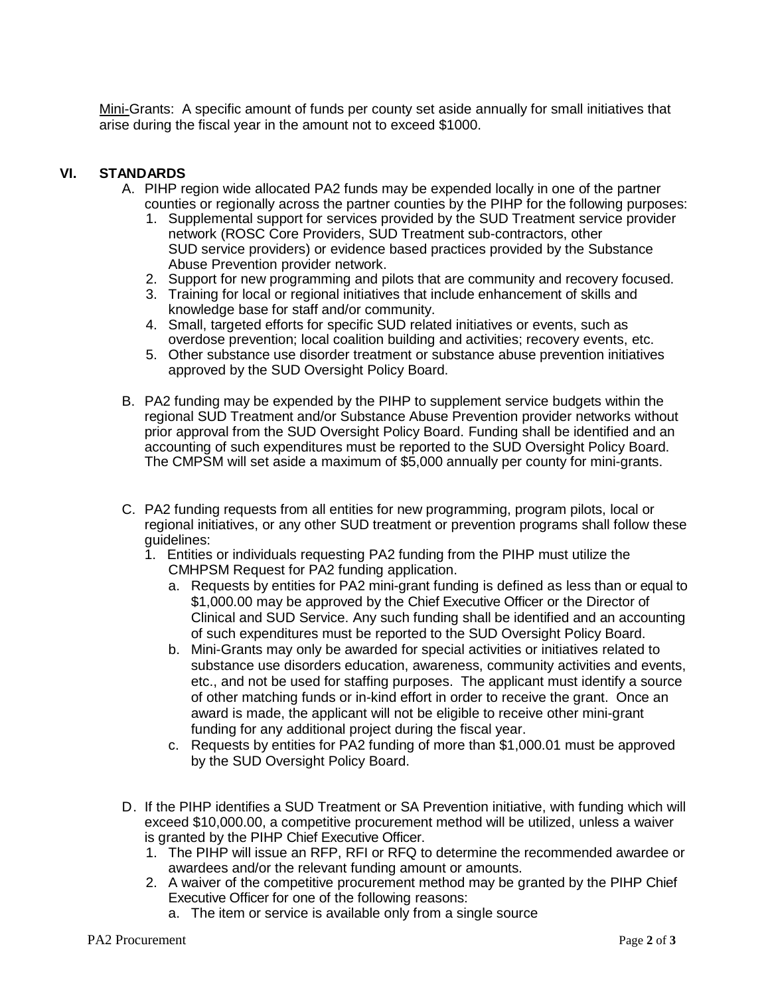Mini-Grants: A specific amount of funds per county set aside annually for small initiatives that arise during the fiscal year in the amount not to exceed \$1000.

# **VI. STANDARDS**

- A. PIHP region wide allocated PA2 funds may be expended locally in one of the partner counties or regionally across the partner counties by the PIHP for the following purposes:
	- 1. Supplemental support for services provided by the SUD Treatment service provider network (ROSC Core Providers, SUD Treatment sub-contractors, other SUD service providers) or evidence based practices provided by the Substance Abuse Prevention provider network.
	- 2. Support for new programming and pilots that are community and recovery focused.
	- 3. Training for local or regional initiatives that include enhancement of skills and knowledge base for staff and/or community.
	- 4. Small, targeted efforts for specific SUD related initiatives or events, such as overdose prevention; local coalition building and activities; recovery events, etc.
	- 5. Other substance use disorder treatment or substance abuse prevention initiatives approved by the SUD Oversight Policy Board.
- B. PA2 funding may be expended by the PIHP to supplement service budgets within the regional SUD Treatment and/or Substance Abuse Prevention provider networks without prior approval from the SUD Oversight Policy Board. Funding shall be identified and an accounting of such expenditures must be reported to the SUD Oversight Policy Board. The CMPSM will set aside a maximum of \$5,000 annually per county for mini-grants.
- C. PA2 funding requests from all entities for new programming, program pilots, local or regional initiatives, or any other SUD treatment or prevention programs shall follow these guidelines:
	- 1. Entities or individuals requesting PA2 funding from the PIHP must utilize the CMHPSM Request for PA2 funding application.
		- a. Requests by entities for PA2 mini-grant funding is defined as less than or equal to \$1,000.00 may be approved by the Chief Executive Officer or the Director of Clinical and SUD Service. Any such funding shall be identified and an accounting of such expenditures must be reported to the SUD Oversight Policy Board.
		- b. Mini-Grants may only be awarded for special activities or initiatives related to substance use disorders education, awareness, community activities and events, etc., and not be used for staffing purposes. The applicant must identify a source of other matching funds or in-kind effort in order to receive the grant. Once an award is made, the applicant will not be eligible to receive other mini-grant funding for any additional project during the fiscal year.
		- c. Requests by entities for PA2 funding of more than \$1,000.01 must be approved by the SUD Oversight Policy Board.
- D. If the PIHP identifies a SUD Treatment or SA Prevention initiative, with funding which will exceed \$10,000.00, a competitive procurement method will be utilized, unless a waiver is granted by the PIHP Chief Executive Officer.
	- 1. The PIHP will issue an RFP, RFI or RFQ to determine the recommended awardee or awardees and/or the relevant funding amount or amounts.
	- 2. A waiver of the competitive procurement method may be granted by the PIHP Chief Executive Officer for one of the following reasons:
		- a. The item or service is available only from a single source